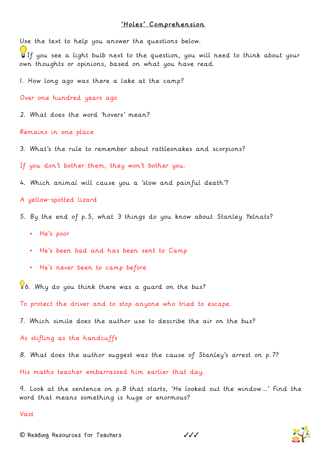## 'Holes' Comprehension

Use the text to help you answer the questions below.

If you see a light bulb next to the question, you will need to think about your own thoughts or opinions, based on what you have read.

1. How long ago was there a lake at the camp?

Over one hundred years ago

2. What does the word 'hovers' mean?

Remains in one place

3. What's the rule to remember about rattlesnakes and scorpions?

If you don't bother them, they won't bother you.

4. Which animal will cause you a 'slow and painful death'?

A yellow-spotted lizard

- 5. By the end of p.5, what 3 things do you know about Stanley Yelnats?
	- He's poor
	- He's been bad and has been sent to Camp
	- He's never been to camp before

6. Why do you think there was a guard on the bus?

To protect the driver and to stop anyone who tried to escape.

7. Which simile does the author use to describe the air on the bus?

As stifling as the handcuffs

8. What does the author suggest was the cause of Stanley's arrest on p.7?

His maths teacher embarrassed him earlier that day.

9. Look at the sentence on p.8 that starts, 'He looked out the window…' Find the word that means something is huge or enormous?

## Vast